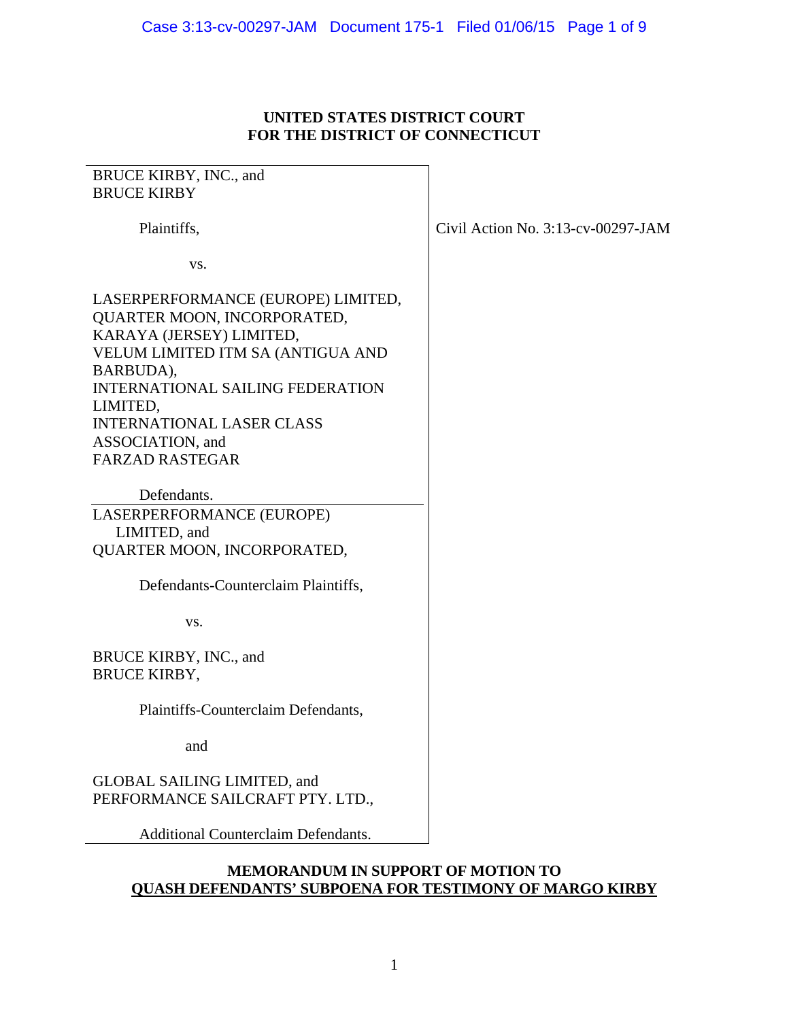### **UNITED STATES DISTRICT COURT FOR THE DISTRICT OF CONNECTICUT**

## BRUCE KIRBY, INC., and BRUCE KIRBY

Plaintiffs,

vs.

LASERPERFORMANCE (EUROPE) LIMITED, QUARTER MOON, INCORPORATED, KARAYA (JERSEY) LIMITED, VELUM LIMITED ITM SA (ANTIGUA AND BARBUDA), INTERNATIONAL SAILING FEDERATION LIMITED, INTERNATIONAL LASER CLASS ASSOCIATION, and FARZAD RASTEGAR

 Defendants. LASERPERFORMANCE (EUROPE) LIMITED, and QUARTER MOON, INCORPORATED,

Defendants-Counterclaim Plaintiffs,

vs.

BRUCE KIRBY, INC., and BRUCE KIRBY,

Plaintiffs-Counterclaim Defendants,

and

GLOBAL SAILING LIMITED, and PERFORMANCE SAILCRAFT PTY. LTD.,

Additional Counterclaim Defendants.

### **MEMORANDUM IN SUPPORT OF MOTION TO QUASH DEFENDANTS' SUBPOENA FOR TESTIMONY OF MARGO KIRBY**

Civil Action No. 3:13-cv-00297-JAM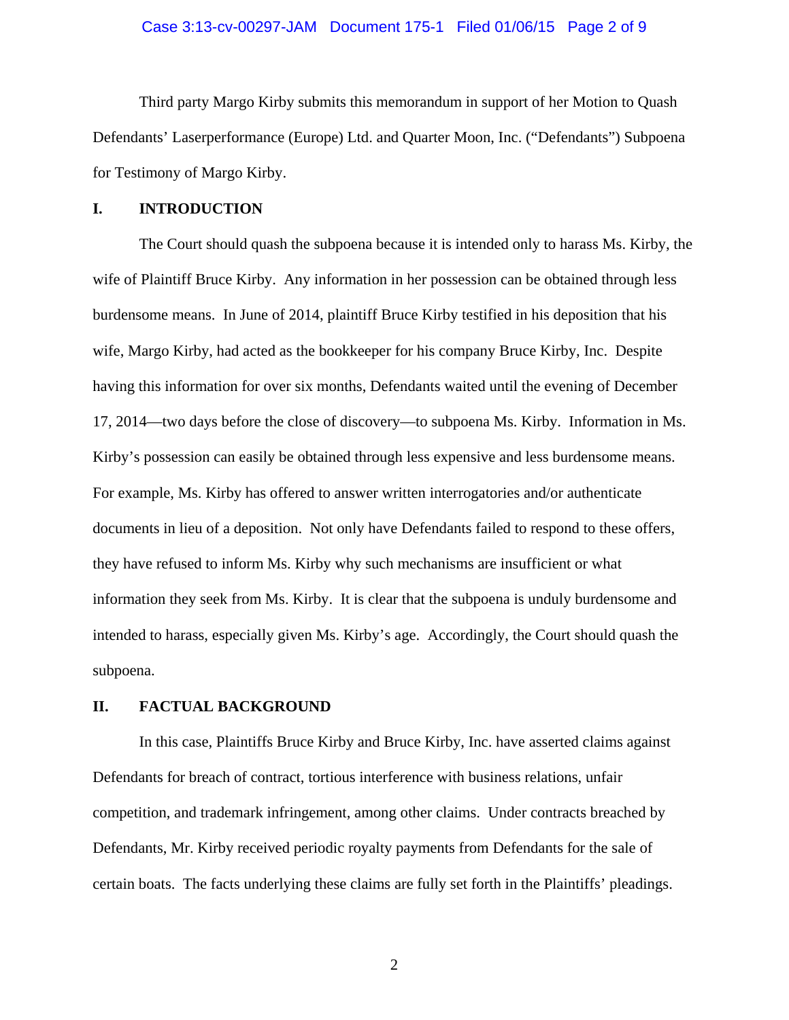### Case 3:13-cv-00297-JAM Document 175-1 Filed 01/06/15 Page 2 of 9

 Third party Margo Kirby submits this memorandum in support of her Motion to Quash Defendants' Laserperformance (Europe) Ltd. and Quarter Moon, Inc. ("Defendants") Subpoena for Testimony of Margo Kirby.

### **I. INTRODUCTION**

 The Court should quash the subpoena because it is intended only to harass Ms. Kirby, the wife of Plaintiff Bruce Kirby. Any information in her possession can be obtained through less burdensome means. In June of 2014, plaintiff Bruce Kirby testified in his deposition that his wife, Margo Kirby, had acted as the bookkeeper for his company Bruce Kirby, Inc. Despite having this information for over six months, Defendants waited until the evening of December 17, 2014—two days before the close of discovery—to subpoena Ms. Kirby. Information in Ms. Kirby's possession can easily be obtained through less expensive and less burdensome means. For example, Ms. Kirby has offered to answer written interrogatories and/or authenticate documents in lieu of a deposition. Not only have Defendants failed to respond to these offers, they have refused to inform Ms. Kirby why such mechanisms are insufficient or what information they seek from Ms. Kirby. It is clear that the subpoena is unduly burdensome and intended to harass, especially given Ms. Kirby's age. Accordingly, the Court should quash the subpoena.

### **II. FACTUAL BACKGROUND**

 In this case, Plaintiffs Bruce Kirby and Bruce Kirby, Inc. have asserted claims against Defendants for breach of contract, tortious interference with business relations, unfair competition, and trademark infringement, among other claims. Under contracts breached by Defendants, Mr. Kirby received periodic royalty payments from Defendants for the sale of certain boats. The facts underlying these claims are fully set forth in the Plaintiffs' pleadings.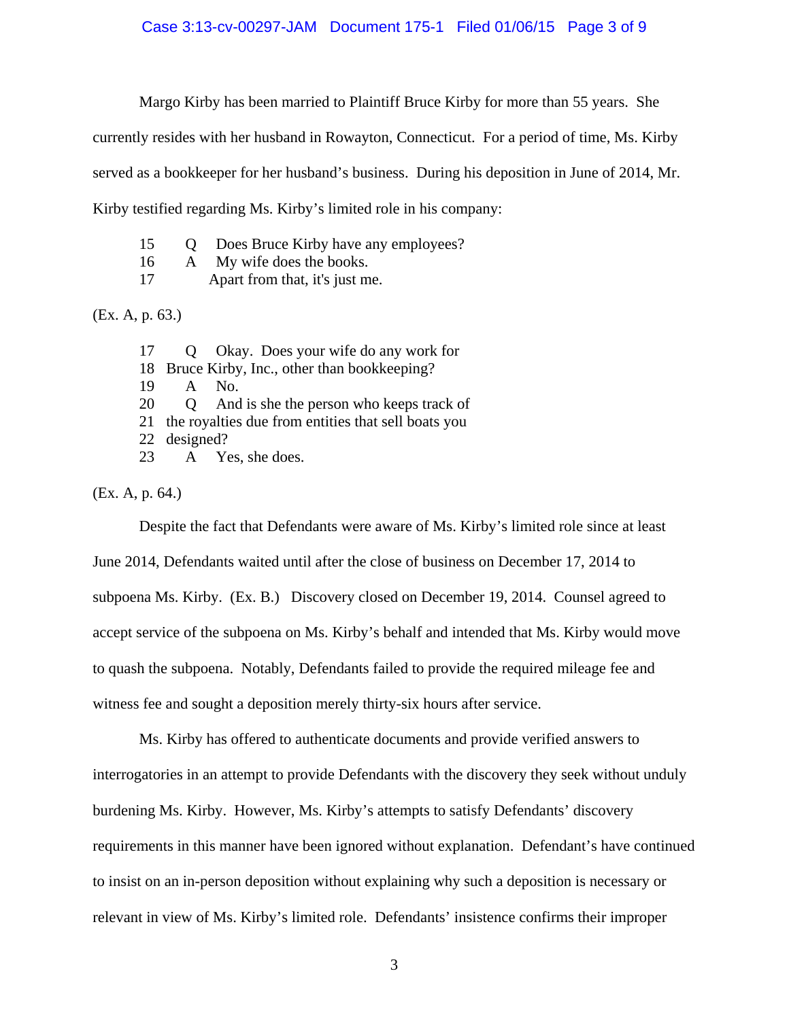### Case 3:13-cv-00297-JAM Document 175-1 Filed 01/06/15 Page 3 of 9

Margo Kirby has been married to Plaintiff Bruce Kirby for more than 55 years. She

currently resides with her husband in Rowayton, Connecticut. For a period of time, Ms. Kirby

served as a bookkeeper for her husband's business. During his deposition in June of 2014, Mr.

Kirby testified regarding Ms. Kirby's limited role in his company:

- 15 Q Does Bruce Kirby have any employees?
- 16 A My wife does the books.
- 17 Apart from that, it's just me.

(Ex. A, p. 63.)

17 Q Okay. Does your wife do any work for 18 Bruce Kirby, Inc., other than bookkeeping? 19 A No. 20 Q And is she the person who keeps track of 21 the royalties due from entities that sell boats you 22 designed? 23 A Yes, she does.

(Ex. A, p. 64.)

Despite the fact that Defendants were aware of Ms. Kirby's limited role since at least

June 2014, Defendants waited until after the close of business on December 17, 2014 to subpoena Ms. Kirby. (Ex. B.) Discovery closed on December 19, 2014. Counsel agreed to accept service of the subpoena on Ms. Kirby's behalf and intended that Ms. Kirby would move to quash the subpoena. Notably, Defendants failed to provide the required mileage fee and witness fee and sought a deposition merely thirty-six hours after service.

 Ms. Kirby has offered to authenticate documents and provide verified answers to interrogatories in an attempt to provide Defendants with the discovery they seek without unduly burdening Ms. Kirby. However, Ms. Kirby's attempts to satisfy Defendants' discovery requirements in this manner have been ignored without explanation. Defendant's have continued to insist on an in-person deposition without explaining why such a deposition is necessary or relevant in view of Ms. Kirby's limited role. Defendants' insistence confirms their improper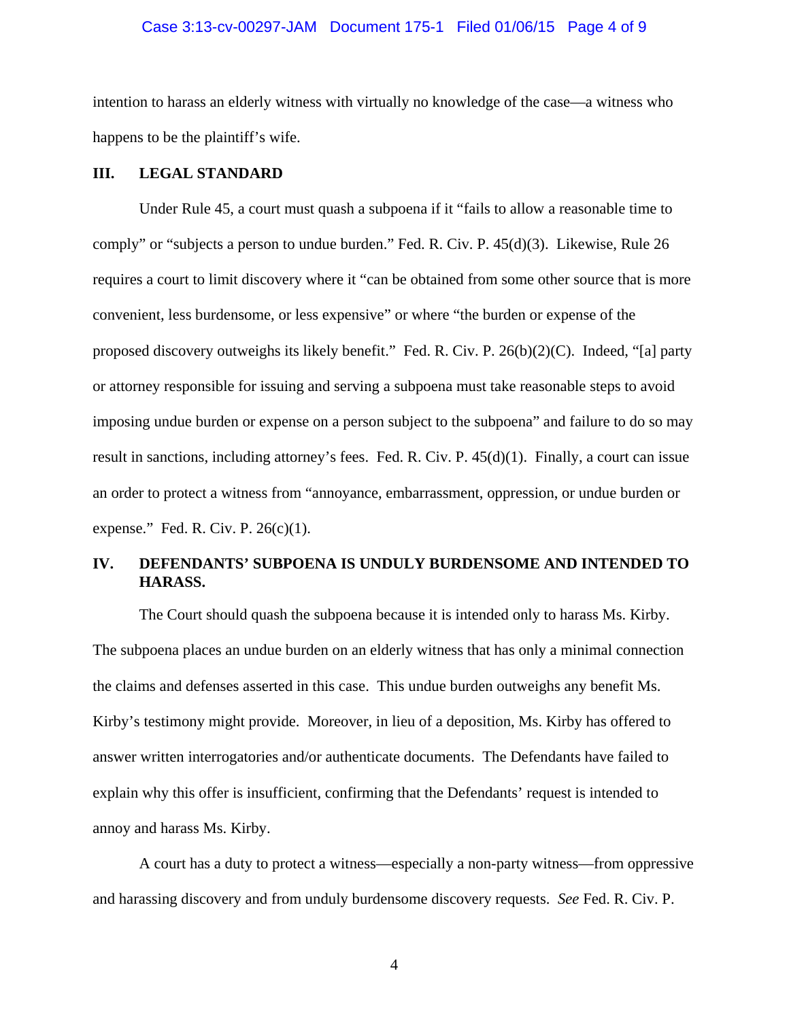### Case 3:13-cv-00297-JAM Document 175-1 Filed 01/06/15 Page 4 of 9

intention to harass an elderly witness with virtually no knowledge of the case—a witness who happens to be the plaintiff's wife.

### **III. LEGAL STANDARD**

 Under Rule 45, a court must quash a subpoena if it "fails to allow a reasonable time to comply" or "subjects a person to undue burden." Fed. R. Civ. P. 45(d)(3). Likewise, Rule 26 requires a court to limit discovery where it "can be obtained from some other source that is more convenient, less burdensome, or less expensive" or where "the burden or expense of the proposed discovery outweighs its likely benefit." Fed. R. Civ. P.  $26(b)(2)(C)$ . Indeed, "[a] party or attorney responsible for issuing and serving a subpoena must take reasonable steps to avoid imposing undue burden or expense on a person subject to the subpoena" and failure to do so may result in sanctions, including attorney's fees. Fed. R. Civ. P.  $45(d)(1)$ . Finally, a court can issue an order to protect a witness from "annoyance, embarrassment, oppression, or undue burden or expense." Fed. R. Civ. P.  $26(c)(1)$ .

## **IV. DEFENDANTS' SUBPOENA IS UNDULY BURDENSOME AND INTENDED TO HARASS.**

 The Court should quash the subpoena because it is intended only to harass Ms. Kirby. The subpoena places an undue burden on an elderly witness that has only a minimal connection the claims and defenses asserted in this case. This undue burden outweighs any benefit Ms. Kirby's testimony might provide. Moreover, in lieu of a deposition, Ms. Kirby has offered to answer written interrogatories and/or authenticate documents. The Defendants have failed to explain why this offer is insufficient, confirming that the Defendants' request is intended to annoy and harass Ms. Kirby.

 A court has a duty to protect a witness—especially a non-party witness—from oppressive and harassing discovery and from unduly burdensome discovery requests. *See* Fed. R. Civ. P.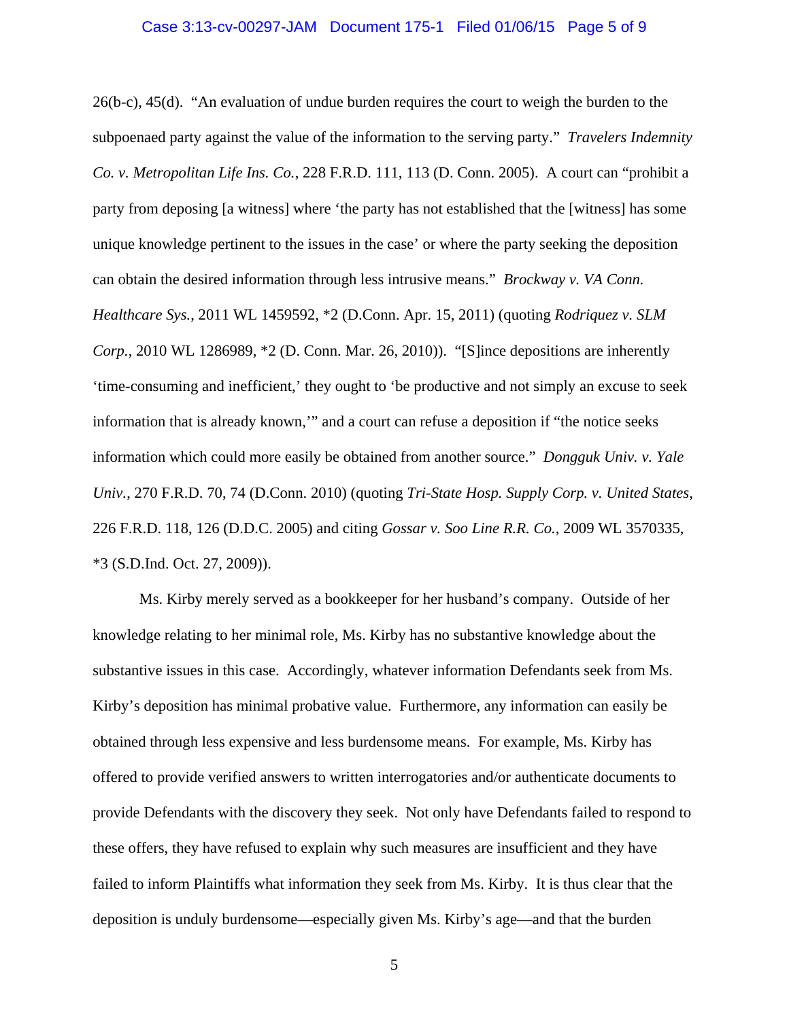#### Case 3:13-cv-00297-JAM Document 175-1 Filed 01/06/15 Page 5 of 9

26(b-c), 45(d). "An evaluation of undue burden requires the court to weigh the burden to the subpoenaed party against the value of the information to the serving party." *Travelers Indemnity Co. v. Metropolitan Life Ins. Co.*, 228 F.R.D. 111, 113 (D. Conn. 2005). A court can "prohibit a party from deposing [a witness] where 'the party has not established that the [witness] has some unique knowledge pertinent to the issues in the case' or where the party seeking the deposition can obtain the desired information through less intrusive means." *Brockway v. VA Conn. Healthcare Sys.*, 2011 WL 1459592, \*2 (D.Conn. Apr. 15, 2011) (quoting *Rodriquez v. SLM Corp.*, 2010 WL 1286989, \*2 (D. Conn. Mar. 26, 2010)). "[S]ince depositions are inherently 'time-consuming and inefficient,' they ought to 'be productive and not simply an excuse to seek information that is already known,'" and a court can refuse a deposition if "the notice seeks information which could more easily be obtained from another source." *Dongguk Univ. v. Yale Univ.*, 270 F.R.D. 70, 74 (D.Conn. 2010) (quoting *Tri-State Hosp. Supply Corp. v. United States*, 226 F.R.D. 118, 126 (D.D.C. 2005) and citing *Gossar v. Soo Line R.R. Co.*, 2009 WL 3570335, \*3 (S.D.Ind. Oct. 27, 2009)).

 Ms. Kirby merely served as a bookkeeper for her husband's company. Outside of her knowledge relating to her minimal role, Ms. Kirby has no substantive knowledge about the substantive issues in this case. Accordingly, whatever information Defendants seek from Ms. Kirby's deposition has minimal probative value. Furthermore, any information can easily be obtained through less expensive and less burdensome means. For example, Ms. Kirby has offered to provide verified answers to written interrogatories and/or authenticate documents to provide Defendants with the discovery they seek. Not only have Defendants failed to respond to these offers, they have refused to explain why such measures are insufficient and they have failed to inform Plaintiffs what information they seek from Ms. Kirby. It is thus clear that the deposition is unduly burdensome—especially given Ms. Kirby's age—and that the burden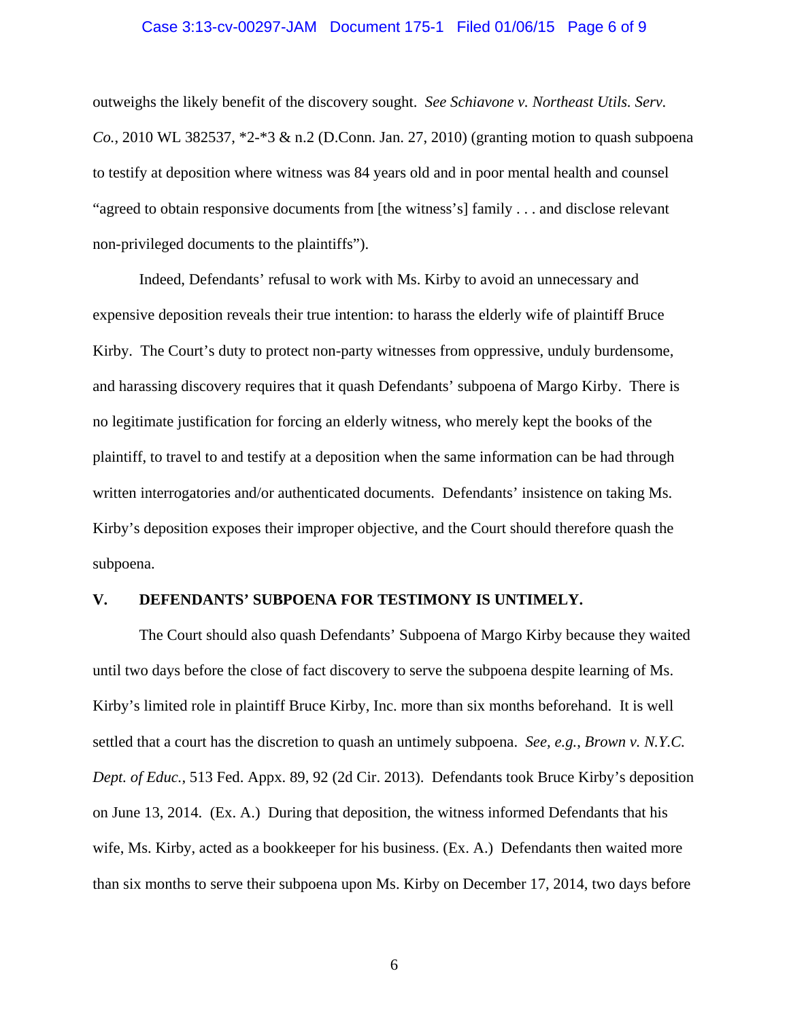#### Case 3:13-cv-00297-JAM Document 175-1 Filed 01/06/15 Page 6 of 9

outweighs the likely benefit of the discovery sought. *See Schiavone v. Northeast Utils. Serv. Co.*, 2010 WL 382537, \*2-\*3 & n.2 (D.Conn. Jan. 27, 2010) (granting motion to quash subpoena to testify at deposition where witness was 84 years old and in poor mental health and counsel "agreed to obtain responsive documents from [the witness's] family . . . and disclose relevant non-privileged documents to the plaintiffs").

 Indeed, Defendants' refusal to work with Ms. Kirby to avoid an unnecessary and expensive deposition reveals their true intention: to harass the elderly wife of plaintiff Bruce Kirby. The Court's duty to protect non-party witnesses from oppressive, unduly burdensome, and harassing discovery requires that it quash Defendants' subpoena of Margo Kirby. There is no legitimate justification for forcing an elderly witness, who merely kept the books of the plaintiff, to travel to and testify at a deposition when the same information can be had through written interrogatories and/or authenticated documents. Defendants' insistence on taking Ms. Kirby's deposition exposes their improper objective, and the Court should therefore quash the subpoena.

### **V. DEFENDANTS' SUBPOENA FOR TESTIMONY IS UNTIMELY.**

 The Court should also quash Defendants' Subpoena of Margo Kirby because they waited until two days before the close of fact discovery to serve the subpoena despite learning of Ms. Kirby's limited role in plaintiff Bruce Kirby, Inc. more than six months beforehand. It is well settled that a court has the discretion to quash an untimely subpoena. *See, e.g.*, *Brown v. N.Y.C. Dept. of Educ.*, 513 Fed. Appx. 89, 92 (2d Cir. 2013). Defendants took Bruce Kirby's deposition on June 13, 2014. (Ex. A.) During that deposition, the witness informed Defendants that his wife, Ms. Kirby, acted as a bookkeeper for his business. (Ex. A.) Defendants then waited more than six months to serve their subpoena upon Ms. Kirby on December 17, 2014, two days before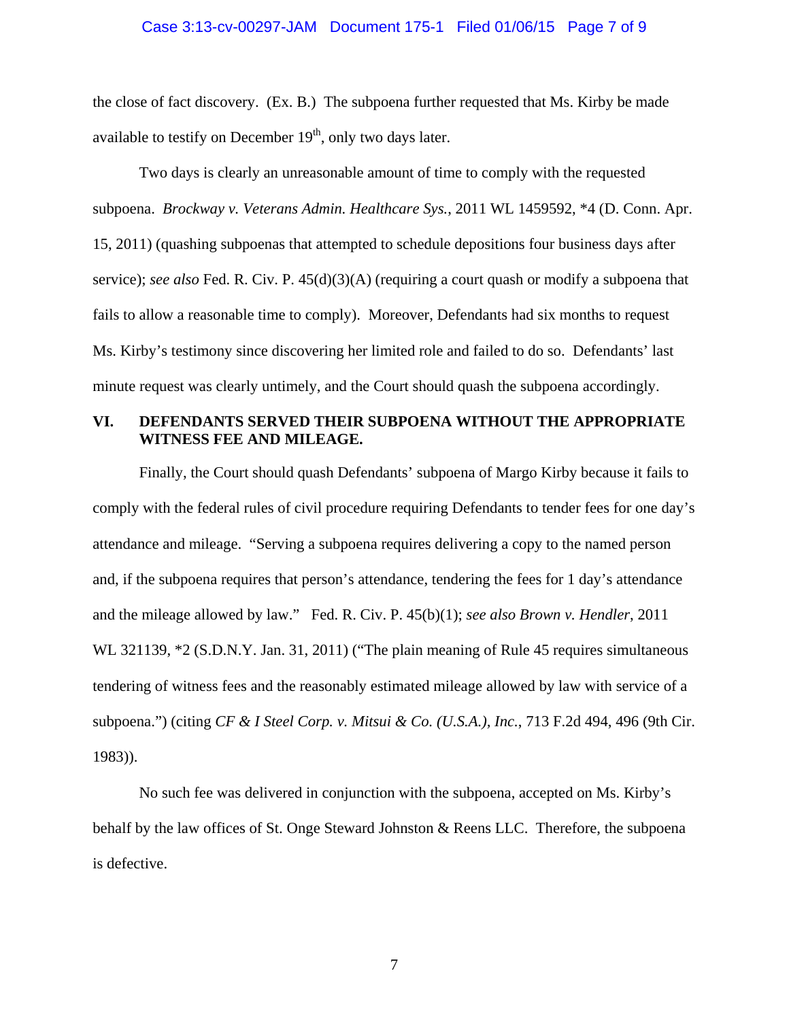#### Case 3:13-cv-00297-JAM Document 175-1 Filed 01/06/15 Page 7 of 9

the close of fact discovery. (Ex. B.) The subpoena further requested that Ms. Kirby be made available to testify on December  $19<sup>th</sup>$ , only two days later.

 Two days is clearly an unreasonable amount of time to comply with the requested subpoena. *Brockway v. Veterans Admin. Healthcare Sys.*, 2011 WL 1459592, \*4 (D. Conn. Apr. 15, 2011) (quashing subpoenas that attempted to schedule depositions four business days after service); *see also* Fed. R. Civ. P. 45(d)(3)(A) (requiring a court quash or modify a subpoena that fails to allow a reasonable time to comply). Moreover, Defendants had six months to request Ms. Kirby's testimony since discovering her limited role and failed to do so. Defendants' last minute request was clearly untimely, and the Court should quash the subpoena accordingly.

### **VI. DEFENDANTS SERVED THEIR SUBPOENA WITHOUT THE APPROPRIATE WITNESS FEE AND MILEAGE.**

 Finally, the Court should quash Defendants' subpoena of Margo Kirby because it fails to comply with the federal rules of civil procedure requiring Defendants to tender fees for one day's attendance and mileage. "Serving a subpoena requires delivering a copy to the named person and, if the subpoena requires that person's attendance, tendering the fees for 1 day's attendance and the mileage allowed by law." Fed. R. Civ. P. 45(b)(1); *see also Brown v. Hendler*, 2011 WL 321139,  $*2$  (S.D.N.Y. Jan. 31, 2011) ("The plain meaning of Rule 45 requires simultaneous tendering of witness fees and the reasonably estimated mileage allowed by law with service of a subpoena.") (citing *CF & I Steel Corp. v. Mitsui & Co. (U.S.A.), Inc.*, 713 F.2d 494, 496 (9th Cir. 1983)).

 No such fee was delivered in conjunction with the subpoena, accepted on Ms. Kirby's behalf by the law offices of St. Onge Steward Johnston & Reens LLC. Therefore, the subpoena is defective.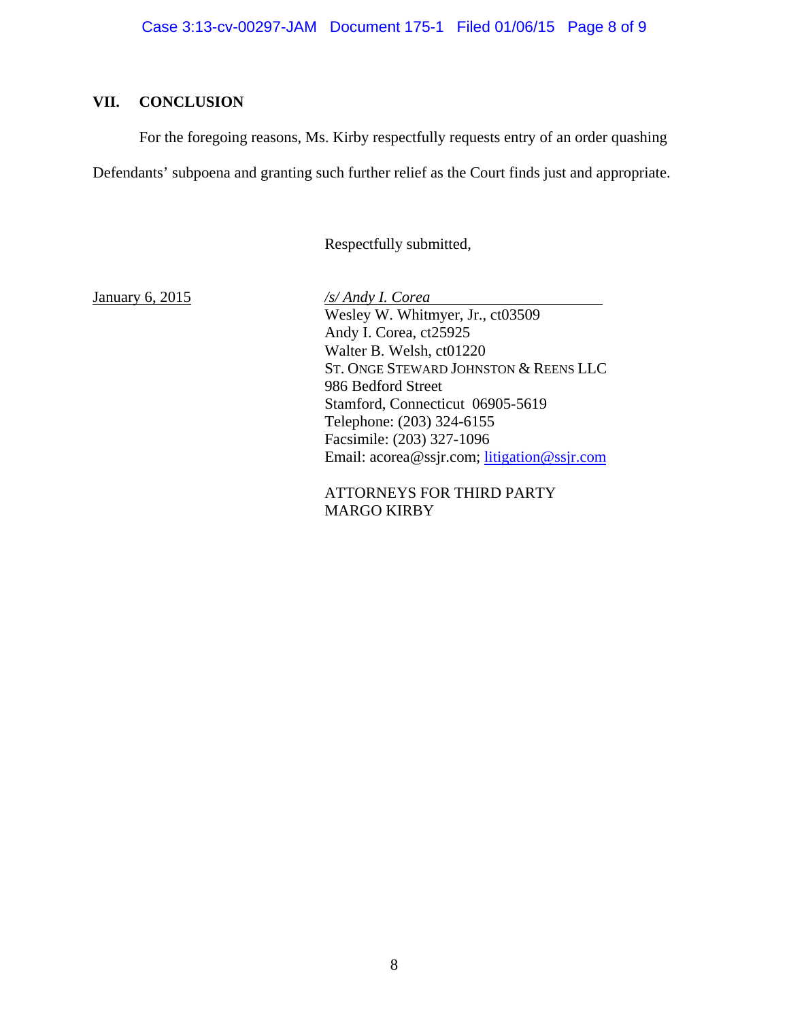# **VII. CONCLUSION**

For the foregoing reasons, Ms. Kirby respectfully requests entry of an order quashing

Defendants' subpoena and granting such further relief as the Court finds just and appropriate.

Respectfully submitted,

January 6, 2015 */s/ Andy I. Corea*  Wesley W. Whitmyer, Jr., ct03509 Andy I. Corea, ct25925 Walter B. Welsh, ct01220 ST. ONGE STEWARD JOHNSTON & REENS LLC 986 Bedford Street Stamford, Connecticut 06905-5619 Telephone: (203) 324-6155 Facsimile: (203) 327-1096 Email: acorea@ssjr.com; litigation@ssjr.com

> ATTORNEYS FOR THIRD PARTY MARGO KIRBY